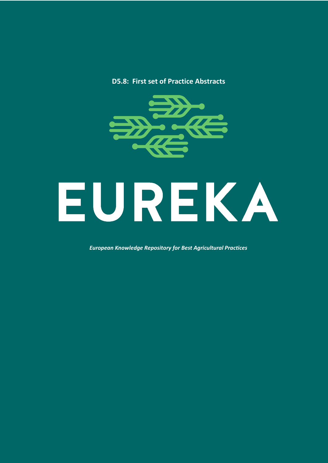#### **D5.8: First set of Practice Abstracts**



*European Knowledge Repository for Best Agricultural Practices*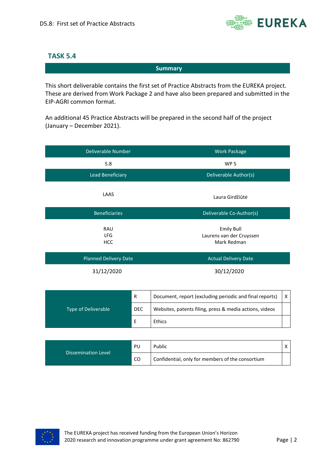

#### **TASK 5.4**

**Summary**

This short deliverable contains the first set of Practice Abstracts from the EUREKA project. These are derived from Work Package 2 and have also been prepared and submitted in the EIP-AGRI common format.

An additional 45 Practice Abstracts will be prepared in the second half of the project (January – December 2021).

| Deliverable Number              | <b>Work Package</b>                                          |
|---------------------------------|--------------------------------------------------------------|
| 5.8                             | WP <sub>5</sub>                                              |
| <b>Lead Beneficiary</b>         | Deliverable Author(s)                                        |
| LAAS                            | Laura Girdžiūtė                                              |
| <b>Beneficiaries</b>            | Deliverable Co-Author(s)                                     |
| RAU<br><b>LFG</b><br><b>HCC</b> | <b>Emily Bull</b><br>Laurens van der Cruyssen<br>Mark Redman |
| <b>Planned Delivery Date</b>    | <b>Actual Delivery Date</b>                                  |
| 31/12/2020                      | 30/12/2020                                                   |

| <b>Type of Deliverable</b> | R          | Document, report (excluding periodic and final reports) |  |
|----------------------------|------------|---------------------------------------------------------|--|
|                            | <b>DEC</b> | Websites, patents filing, press & media actions, videos |  |
|                            |            | Ethics                                                  |  |

| PU<br><b>Dissemination Level</b><br>CO. | Public                                           |  |
|-----------------------------------------|--------------------------------------------------|--|
|                                         | Confidential, only for members of the consortium |  |

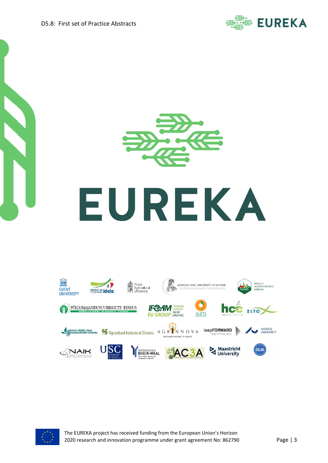







The EUREKA project has received funding from the European Union's Horizon 2020 research and innovation programme under grant agreement No: 862790 Page | 3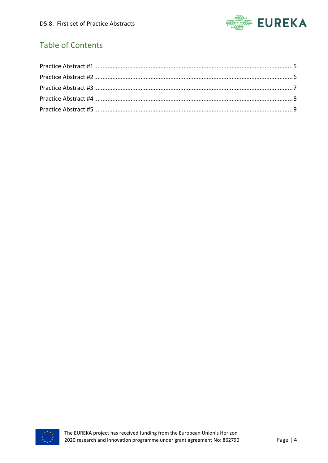

# Table of Contents

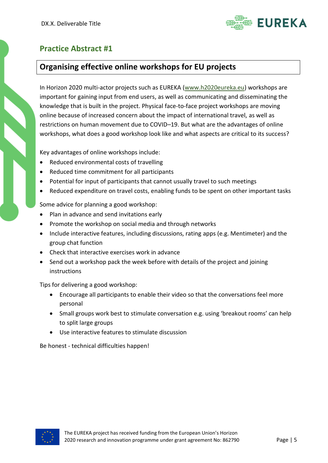

### <span id="page-4-0"></span>**Organising effective online workshops for EU projects**

In Horizon 2020 multi-actor projects such as EUREKA [\(www.h2020eureka.eu\)](http://www.h2020eureka.eu/) workshops are important for gaining input from end users, as well as communicating and disseminating the knowledge that is built in the project. Physical face-to-face project workshops are moving online because of increased concern about the impact of international travel, as well as restrictions on human movement due to COVID–19. But what are the advantages of online workshops, what does a good workshop look like and what aspects are critical to its success?

Key advantages of online workshops include:

- Reduced environmental costs of travelling
- Reduced time commitment for all participants
- Potential for input of participants that cannot usually travel to such meetings
- Reduced expenditure on travel costs, enabling funds to be spent on other important tasks

Some advice for planning a good workshop:

- Plan in advance and send invitations early
- Promote the workshop on social media and through networks
- Include interactive features, including discussions, rating apps (e.g. Mentimeter) and the group chat function
- Check that interactive exercises work in advance
- Send out a workshop pack the week before with details of the project and joining instructions

Tips for delivering a good workshop:

- Encourage all participants to enable their video so that the conversations feel more personal
- Small groups work best to stimulate conversation e.g. using 'breakout rooms' can help to split large groups
- Use interactive features to stimulate discussion

Be honest - technical difficulties happen!

<span id="page-4-1"></span>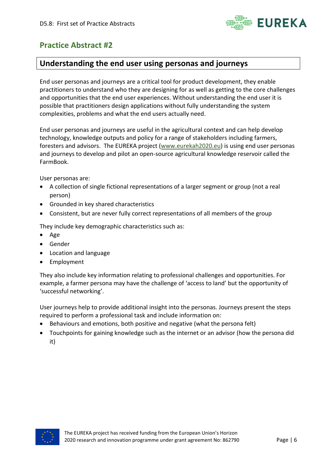

#### **Understanding the end user using personas and journeys**

End user personas and journeys are a critical tool for product development, they enable practitioners to understand who they are designing for as well as getting to the core challenges and opportunities that the end user experiences. Without understanding the end user it is possible that practitioners design applications without fully understanding the system complexities, problems and what the end users actually need.

End user personas and journeys are useful in the agricultural context and can help develop technology, knowledge outputs and policy for a range of stakeholders including farmers, foresters and advisors. The EUREKA project [\(www.eurekah2020.eu\)](http://www.eurekah2020.eu/) is using end user personas and journeys to develop and pilot an open-source agricultural knowledge reservoir called the FarmBook.

User personas are:

- A collection of single fictional representations of a larger segment or group (not a real person)
- Grounded in key shared characteristics
- Consistent, but are never fully correct representations of all members of the group

They include key demographic characteristics such as:

- Age
- Gender
- Location and language
- Employment

They also include key information relating to professional challenges and opportunities. For example, a farmer persona may have the challenge of 'access to land' but the opportunity of 'successful networking'.

User journeys help to provide additional insight into the personas. Journeys present the steps required to perform a professional task and include information on:

- Behaviours and emotions, both positive and negative (what the persona felt)
- Touchpoints for gaining knowledge such as the internet or an advisor (how the persona did it)

<span id="page-5-0"></span>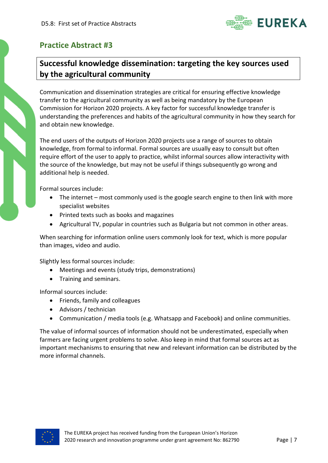

# **Successful knowledge dissemination: targeting the key sources used by the agricultural community**

Communication and dissemination strategies are critical for ensuring effective knowledge transfer to the agricultural community as well as being mandatory by the European Commission for Horizon 2020 projects. A key factor for successful knowledge transfer is understanding the preferences and habits of the agricultural community in how they search for and obtain new knowledge.

The end users of the outputs of Horizon 2020 projects use a range of sources to obtain knowledge, from formal to informal. Formal sources are usually easy to consult but often require effort of the user to apply to practice, whilst informal sources allow interactivity with the source of the knowledge, but may not be useful if things subsequently go wrong and additional help is needed.

Formal sources include:

- The internet most commonly used is the google search engine to then link with more specialist websites
- Printed texts such as books and magazines
- Agricultural TV, popular in countries such as Bulgaria but not common in other areas.

When searching for information online users commonly look for text, which is more popular than images, video and audio.

Slightly less formal sources include:

- Meetings and events (study trips, demonstrations)
- Training and seminars.

Informal sources include:

- Friends, family and colleagues
- Advisors / technician
- Communication / media tools (e.g. Whatsapp and Facebook) and online communities.

The value of informal sources of information should not be underestimated, especially when farmers are facing urgent problems to solve. Also keep in mind that formal sources act as important mechanisms to ensuring that new and relevant information can be distributed by the more informal channels.

<span id="page-6-0"></span>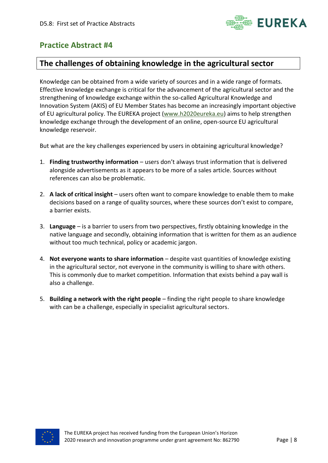

#### **The challenges of obtaining knowledge in the agricultural sector**

Knowledge can be obtained from a wide variety of sources and in a wide range of formats. Effective knowledge exchange is critical for the advancement of the agricultural sector and the strengthening of knowledge exchange within the so-called Agricultural Knowledge and Innovation System (AKIS) of EU Member States has become an increasingly important objective of EU agricultural policy. The EUREKA project [\(www.h2020eureka.eu\)](http://www.h2020eureka.eu/) aims to help strengthen knowledge exchange through the development of an online, open-source EU agricultural knowledge reservoir.

But what are the key challenges experienced by users in obtaining agricultural knowledge?

- 1. **Finding trustworthy information**  users don't always trust information that is delivered alongside advertisements as it appears to be more of a sales article. Sources without references can also be problematic.
- 2. **A lack of critical insight**  users often want to compare knowledge to enable them to make decisions based on a range of quality sources, where these sources don't exist to compare, a barrier exists.
- 3. **Language** is a barrier to users from two perspectives, firstly obtaining knowledge in the native language and secondly, obtaining information that is written for them as an audience without too much technical, policy or academic jargon.
- 4. **Not everyone wants to share information** despite vast quantities of knowledge existing in the agricultural sector, not everyone in the community is willing to share with others. This is commonly due to market competition. Information that exists behind a pay wall is also a challenge.
- <span id="page-7-0"></span>5. **Building a network with the right people** – finding the right people to share knowledge with can be a challenge, especially in specialist agricultural sectors.